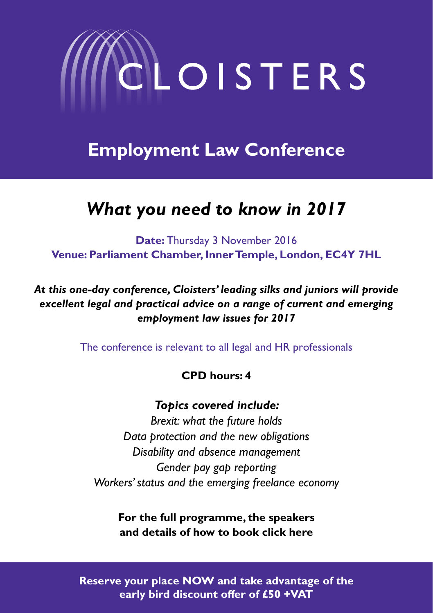

**Employment Law Conference**

# *What you need to know in 2017*

**Date:** Thursday 3 November 2016 **Venue: Parliament Chamber, Inner Temple, London, EC4Y 7HL**

*At this one-day conference, Cloisters' leading silks and juniors will provide excellent legal and practical advice on a range of current and emerging employment law issues for 2017*

The conference is relevant to all legal and HR professionals

## **CPD hours: 4**

### *Topics covered include:*

*Brexit: what the future holds Data protection and the new obligations Disability and absence management Gender pay gap reporting Workers' status and the emerging freelance economy*

**For the full programme, the speakers and details of how to book click here**

**Reserve your place NOW and take advantage of the early bird discount offer of £50 +VAT**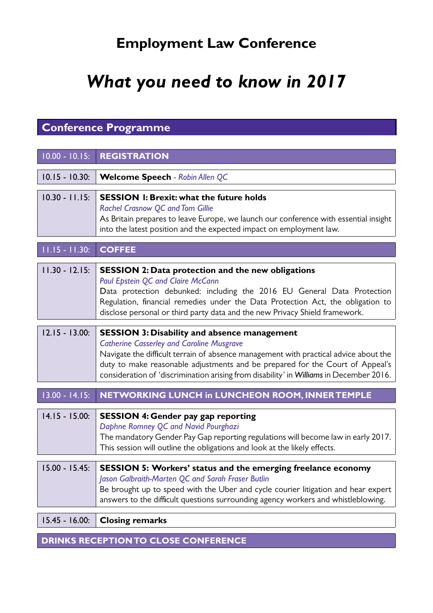# **Employment Law Conference**

# *What you need to know in 2017*

## **Conference Programme**

| $10.00 - 10.15$ : | <b>REGISTRATION</b>                                                                                                                                                                                                                                                                                                                                                         |
|-------------------|-----------------------------------------------------------------------------------------------------------------------------------------------------------------------------------------------------------------------------------------------------------------------------------------------------------------------------------------------------------------------------|
| $10.15 - 10.30:$  | <b>Welcome Speech - Robin Allen QC</b>                                                                                                                                                                                                                                                                                                                                      |
| $10.30 - 11.15$ : | <b>SESSION 1: Brexit: what the future holds</b><br>Rachel Crasnow QC and Tom Gillie<br>As Britain prepares to leave Europe, we launch our conference with essential insight<br>into the latest position and the expected impact on employment law.                                                                                                                          |
| $11.15 - 11.30$ : | <b>COFFEE</b>                                                                                                                                                                                                                                                                                                                                                               |
| $11.30 - 12.15$ : | SESSION 2: Data protection and the new obligations<br>Paul Epstein QC and Claire McCann<br>Data protection debunked: including the 2016 EU General Data Protection<br>Regulation, financial remedies under the Data Protection Act, the obligation to<br>disclose personal or third party data and the new Privacy Shield framework.                                        |
| $12.15 - 13.00:$  | <b>SESSION 3: Disability and absence management</b><br><b>Catherine Casserley and Caroline Musgrave</b><br>Navigate the difficult terrain of absence management with practical advice about the<br>duty to make reasonable adjustments and be prepared for the Court of Appeal's<br>consideration of 'discrimination arising from disability' in Williams in December 2016. |
| $13.00 - 14.15$ : | NETWORKING LUNCH in LUNCHEON ROOM, INNER TEMPLE                                                                                                                                                                                                                                                                                                                             |
| $14.15 - 15.00$ : | <b>SESSION 4: Gender pay gap reporting</b><br>Daphne Romney QC and Navid Pourghazi<br>The mandatory Gender Pay Gap reporting regulations will become law in early 2017.<br>This session will outline the obligations and look at the likely effects.                                                                                                                        |
| $15.00 - 15.45$   | <b>SESSION 5: Workers' status and the emerging freelance economy</b><br>Jason Galbraith-Marten QC and Sarah Fraser Butlin<br>Be brought up to speed with the Uber and cycle courier litigation and hear expert<br>answers to the difficult questions surrounding agency workers and whistleblowing.                                                                         |
| $15.45 - 16.00$ : | <b>Closing remarks</b>                                                                                                                                                                                                                                                                                                                                                      |

**Drinks reception to close conference**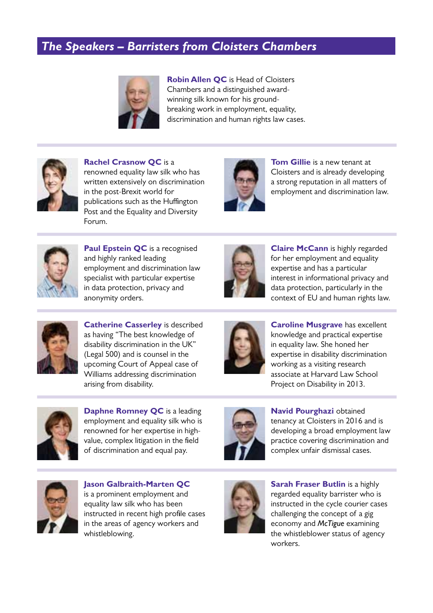## *The Speakers – Barristers from Cloisters Chambers*



**Robin Allen QC** is Head of Cloisters Chambers and a distinguished awardwinning silk known for his groundbreaking work in employment, equality, discrimination and human rights law cases.



**Rachel Crasnow QC** is a renowned equality law silk who has written extensively on discrimination in the post-Brexit world for publications such as the Huffington Post and the Equality and Diversity Forum.



**Tom Gillie** is a new tenant at Cloisters and is already developing a strong reputation in all matters of employment and discrimination law.



**Paul Epstein QC** is a recognised and highly ranked leading employment and discrimination law specialist with particular expertise in data protection, privacy and anonymity orders.



**Claire McCann** is highly regarded for her employment and equality expertise and has a particular interest in informational privacy and data protection, particularly in the context of EU and human rights law.



**Catherine Casserley** is described as having "The best knowledge of disability discrimination in the UK" (Legal 500) and is counsel in the upcoming Court of Appeal case of Williams addressing discrimination arising from disability.



**Caroline Musgrave** has excellent knowledge and practical expertise in equality law. She honed her expertise in disability discrimination working as a visiting research associate at Harvard Law School Project on Disability in 2013.



**Daphne Romney QC** is a leading employment and equality silk who is renowned for her expertise in highvalue, complex litigation in the field of discrimination and equal pay.



**Navid Pourghazi** obtained tenancy at Cloisters in 2016 and is developing a broad employment law practice covering discrimination and complex unfair dismissal cases.



**Jason Galbraith-Marten QC** is a prominent employment and equality law silk who has been instructed in recent high profile cases in the areas of agency workers and whistleblowing.



**Sarah Fraser Butlin** is a highly regarded equality barrister who is instructed in the cycle courier cases challenging the concept of a gig economy and *McTigue* examining the whistleblower status of agency workers.